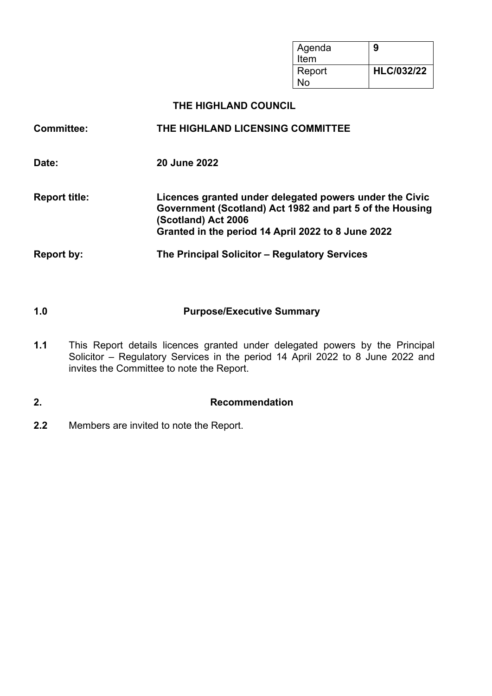| Agenda<br>Item | 9                 |
|----------------|-------------------|
| Report<br>N٥   | <b>HLC/032/22</b> |

#### **THE HIGHLAND COUNCIL**

# **Committee: THE HIGHLAND LICENSING COMMITTEE Date: 20 June 2022 Report title: Licences granted under delegated powers under the Civic Government (Scotland) Act 1982 and part 5 of the Housing (Scotland) Act 2006 Granted in the period 14 April 2022 to 8 June 2022 Report by: The Principal Solicitor – Regulatory Services**

- **1.0 Purpose/Executive Summary**
- **1.1** This Report details licences granted under delegated powers by the Principal Solicitor – Regulatory Services in the period 14 April 2022 to 8 June 2022 and invites the Committee to note the Report.

## **2. Recommendation**

**2.2** Members are invited to note the Report.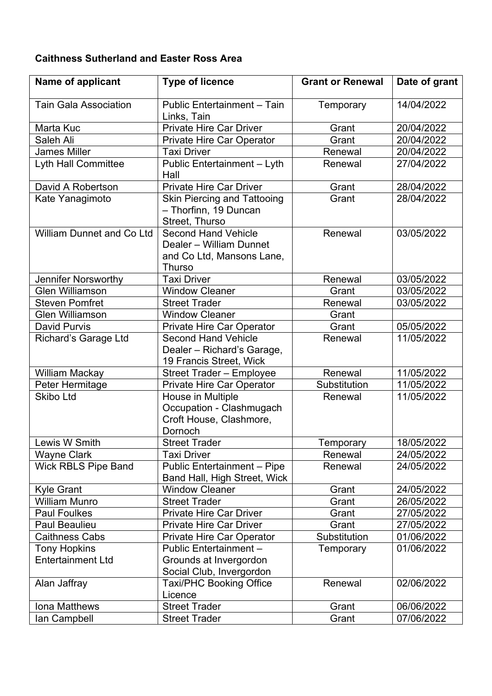### **Caithness Sutherland and Easter Ross Area**

| Name of applicant                               | <b>Type of licence</b>                                                                              | <b>Grant or Renewal</b> | Date of grant |
|-------------------------------------------------|-----------------------------------------------------------------------------------------------------|-------------------------|---------------|
| <b>Tain Gala Association</b>                    | Public Entertainment - Tain<br>Links, Tain                                                          | Temporary               | 14/04/2022    |
| Marta Kuc                                       | <b>Private Hire Car Driver</b>                                                                      | Grant                   | 20/04/2022    |
| Saleh Ali                                       | <b>Private Hire Car Operator</b>                                                                    | Grant                   | 20/04/2022    |
| <b>James Miller</b>                             | <b>Taxi Driver</b>                                                                                  | Renewal                 | 20/04/2022    |
| Lyth Hall Committee                             | Public Entertainment - Lyth<br>Hall                                                                 | Renewal                 | 27/04/2022    |
| David A Robertson                               | <b>Private Hire Car Driver</b>                                                                      | Grant                   | 28/04/2022    |
| Kate Yanagimoto                                 | <b>Skin Piercing and Tattooing</b><br>- Thorfinn, 19 Duncan<br>Street, Thurso                       | Grant                   | 28/04/2022    |
| <b>William Dunnet and Co Ltd</b>                | <b>Second Hand Vehicle</b><br>Dealer - William Dunnet<br>and Co Ltd, Mansons Lane,<br><b>Thurso</b> | Renewal                 | 03/05/2022    |
| Jennifer Norsworthy                             | <b>Taxi Driver</b>                                                                                  | Renewal                 | 03/05/2022    |
| <b>Glen Williamson</b>                          | <b>Window Cleaner</b>                                                                               | Grant                   | 03/05/2022    |
| <b>Steven Pomfret</b>                           | <b>Street Trader</b>                                                                                | Renewal                 | 03/05/2022    |
| <b>Glen Williamson</b>                          | <b>Window Cleaner</b>                                                                               | Grant                   |               |
| <b>David Purvis</b>                             | <b>Private Hire Car Operator</b>                                                                    | Grant                   | 05/05/2022    |
| Richard's Garage Ltd                            | <b>Second Hand Vehicle</b><br>Dealer - Richard's Garage,<br>19 Francis Street, Wick                 | Renewal                 | 11/05/2022    |
| William Mackay                                  | Street Trader - Employee                                                                            | Renewal                 | 11/05/2022    |
| Peter Hermitage                                 | <b>Private Hire Car Operator</b>                                                                    | Substitution            | 11/05/2022    |
| <b>Skibo Ltd</b>                                | House in Multiple<br>Occupation - Clashmugach<br>Croft House, Clashmore,<br>Dornoch                 | Renewal                 | 11/05/2022    |
| Lewis W Smith                                   | <b>Street Trader</b>                                                                                | Temporary               | 18/05/2022    |
| <b>Wayne Clark</b>                              | <b>Taxi Driver</b>                                                                                  | Renewal                 | 24/05/2022    |
| <b>Wick RBLS Pipe Band</b>                      | <b>Public Entertainment - Pipe</b><br><b>Band Hall, High Street, Wick</b>                           | Renewal                 | 24/05/2022    |
| <b>Kyle Grant</b>                               | <b>Window Cleaner</b>                                                                               | Grant                   | 24/05/2022    |
| <b>William Munro</b>                            | <b>Street Trader</b>                                                                                | Grant                   | 26/05/2022    |
| <b>Paul Foulkes</b>                             | <b>Private Hire Car Driver</b>                                                                      | Grant                   | 27/05/2022    |
| <b>Paul Beaulieu</b>                            | <b>Private Hire Car Driver</b>                                                                      | Grant                   | 27/05/2022    |
| <b>Caithness Cabs</b>                           | <b>Private Hire Car Operator</b>                                                                    | Substitution            | 01/06/2022    |
| <b>Tony Hopkins</b><br><b>Entertainment Ltd</b> | Public Entertainment -<br>Grounds at Invergordon<br>Social Club, Invergordon                        | Temporary               | 01/06/2022    |
| Alan Jaffray                                    | <b>Taxi/PHC Booking Office</b><br>Licence                                                           | Renewal                 | 02/06/2022    |
| Iona Matthews                                   | <b>Street Trader</b>                                                                                | Grant                   | 06/06/2022    |
| lan Campbell                                    | <b>Street Trader</b>                                                                                | Grant                   | 07/06/2022    |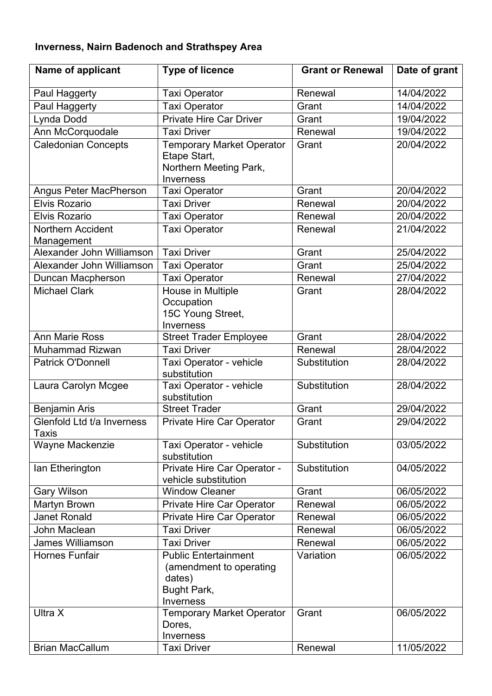# **Inverness, Nairn Badenoch and Strathspey Area**

| Name of applicant                          | <b>Type of licence</b>                                                                              | <b>Grant or Renewal</b> | Date of grant |
|--------------------------------------------|-----------------------------------------------------------------------------------------------------|-------------------------|---------------|
| Paul Haggerty                              | <b>Taxi Operator</b>                                                                                | Renewal                 | 14/04/2022    |
| Paul Haggerty                              | <b>Taxi Operator</b>                                                                                | Grant                   | 14/04/2022    |
| Lynda Dodd                                 | <b>Private Hire Car Driver</b>                                                                      | Grant                   | 19/04/2022    |
| Ann McCorquodale                           | <b>Taxi Driver</b>                                                                                  | Renewal                 | 19/04/2022    |
| <b>Caledonian Concepts</b>                 | <b>Temporary Market Operator</b><br>Etape Start,<br>Northern Meeting Park,<br>Inverness             | Grant                   | 20/04/2022    |
| Angus Peter MacPherson                     | <b>Taxi Operator</b>                                                                                | Grant                   | 20/04/2022    |
| <b>Elvis Rozario</b>                       | <b>Taxi Driver</b>                                                                                  | Renewal                 | 20/04/2022    |
| <b>Elvis Rozario</b>                       | <b>Taxi Operator</b>                                                                                | Renewal                 | 20/04/2022    |
| <b>Northern Accident</b><br>Management     | <b>Taxi Operator</b>                                                                                | Renewal                 | 21/04/2022    |
| Alexander John Williamson                  | <b>Taxi Driver</b>                                                                                  | Grant                   | 25/04/2022    |
| Alexander John Williamson                  | <b>Taxi Operator</b>                                                                                | Grant                   | 25/04/2022    |
| Duncan Macpherson                          | <b>Taxi Operator</b>                                                                                | Renewal                 | 27/04/2022    |
| <b>Michael Clark</b>                       | House in Multiple<br>Occupation<br>15C Young Street,<br>Inverness                                   | Grant                   | 28/04/2022    |
| <b>Ann Marie Ross</b>                      | <b>Street Trader Employee</b>                                                                       | Grant                   | 28/04/2022    |
| <b>Muhammad Rizwan</b>                     | <b>Taxi Driver</b>                                                                                  | Renewal                 | 28/04/2022    |
| <b>Patrick O'Donnell</b>                   | Taxi Operator - vehicle<br>substitution                                                             | Substitution            | 28/04/2022    |
| Laura Carolyn Mcgee                        | Taxi Operator - vehicle<br>substitution                                                             | Substitution            | 28/04/2022    |
| <b>Benjamin Aris</b>                       | <b>Street Trader</b>                                                                                | Grant                   | 29/04/2022    |
| Glenfold Ltd t/a Inverness<br><b>Taxis</b> | <b>Private Hire Car Operator</b>                                                                    | Grant                   | 29/04/2022    |
| <b>Wayne Mackenzie</b>                     | Taxi Operator - vehicle<br>substitution                                                             | Substitution            | 03/05/2022    |
| lan Etherington                            | Private Hire Car Operator -<br>vehicle substitution                                                 | Substitution            | 04/05/2022    |
| <b>Gary Wilson</b>                         | <b>Window Cleaner</b>                                                                               | Grant                   | 06/05/2022    |
| Martyn Brown                               | Private Hire Car Operator                                                                           | Renewal                 | 06/05/2022    |
| Janet Ronald                               | <b>Private Hire Car Operator</b>                                                                    | Renewal                 | 06/05/2022    |
| John Maclean                               | <b>Taxi Driver</b>                                                                                  | Renewal                 | 06/05/2022    |
| <b>James Williamson</b>                    | <b>Taxi Driver</b>                                                                                  | Renewal                 | 06/05/2022    |
| <b>Hornes Funfair</b>                      | <b>Public Entertainment</b><br>(amendment to operating<br>dates)<br>Bught Park,<br><b>Inverness</b> | Variation               | 06/05/2022    |
| Ultra X                                    | <b>Temporary Market Operator</b><br>Dores,<br>Inverness                                             | Grant                   | 06/05/2022    |
| <b>Brian MacCallum</b>                     | <b>Taxi Driver</b>                                                                                  | Renewal                 | 11/05/2022    |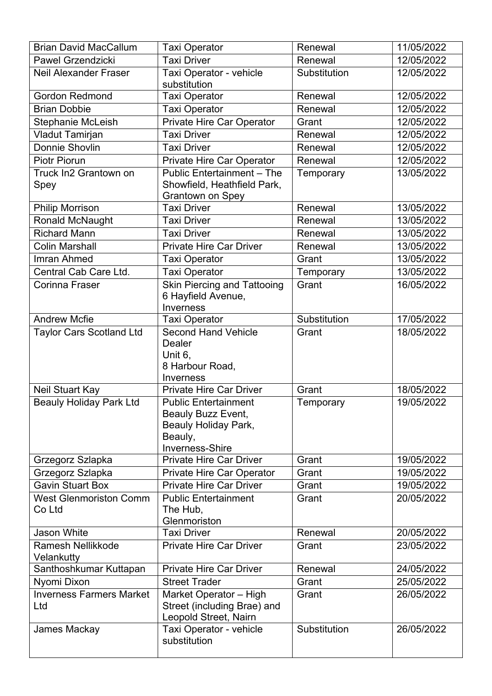| <b>Brian David MacCallum</b>            | <b>Taxi Operator</b>                                                                                    | Renewal      | 11/05/2022 |
|-----------------------------------------|---------------------------------------------------------------------------------------------------------|--------------|------------|
| <b>Pawel Grzendzicki</b>                | <b>Taxi Driver</b>                                                                                      | Renewal      | 12/05/2022 |
| <b>Neil Alexander Fraser</b>            | Taxi Operator - vehicle<br>substitution                                                                 | Substitution | 12/05/2022 |
| <b>Gordon Redmond</b>                   | <b>Taxi Operator</b>                                                                                    | Renewal      | 12/05/2022 |
| <b>Brian Dobbie</b>                     | <b>Taxi Operator</b>                                                                                    | Renewal      | 12/05/2022 |
| Stephanie McLeish                       | Private Hire Car Operator                                                                               | Grant        | 12/05/2022 |
| <b>Vladut Tamirjan</b>                  | <b>Taxi Driver</b>                                                                                      | Renewal      | 12/05/2022 |
| <b>Donnie Shovlin</b>                   | <b>Taxi Driver</b>                                                                                      | Renewal      | 12/05/2022 |
| <b>Piotr Piorun</b>                     | Private Hire Car Operator                                                                               | Renewal      | 12/05/2022 |
| Truck In2 Grantown on<br>Spey           | <b>Public Entertainment - The</b><br>Showfield, Heathfield Park,<br><b>Grantown on Spey</b>             | Temporary    | 13/05/2022 |
| <b>Philip Morrison</b>                  | <b>Taxi Driver</b>                                                                                      | Renewal      | 13/05/2022 |
| <b>Ronald McNaught</b>                  | <b>Taxi Driver</b>                                                                                      | Renewal      | 13/05/2022 |
| <b>Richard Mann</b>                     | <b>Taxi Driver</b>                                                                                      | Renewal      | 13/05/2022 |
| <b>Colin Marshall</b>                   | <b>Private Hire Car Driver</b>                                                                          | Renewal      | 13/05/2022 |
| Imran Ahmed                             | <b>Taxi Operator</b>                                                                                    | Grant        | 13/05/2022 |
| Central Cab Care Ltd.                   | <b>Taxi Operator</b>                                                                                    | Temporary    | 13/05/2022 |
| <b>Corinna Fraser</b>                   | <b>Skin Piercing and Tattooing</b><br>6 Hayfield Avenue,<br><b>Inverness</b>                            | Grant        | 16/05/2022 |
| <b>Andrew Mcfie</b>                     | <b>Taxi Operator</b>                                                                                    | Substitution | 17/05/2022 |
| <b>Taylor Cars Scotland Ltd</b>         | <b>Second Hand Vehicle</b><br><b>Dealer</b><br>Unit 6,<br>8 Harbour Road,<br><b>Inverness</b>           | Grant        | 18/05/2022 |
| <b>Neil Stuart Kay</b>                  | <b>Private Hire Car Driver</b>                                                                          | Grant        | 18/05/2022 |
| <b>Beauly Holiday Park Ltd</b>          | <b>Public Entertainment</b><br>Beauly Buzz Event,<br>Beauly Holiday Park,<br>Beauly,<br>Inverness-Shire | Temporary    | 19/05/2022 |
| Grzegorz Szlapka                        | <b>Private Hire Car Driver</b>                                                                          | Grant        | 19/05/2022 |
| Grzegorz Szlapka                        | Private Hire Car Operator                                                                               | Grant        | 19/05/2022 |
| <b>Gavin Stuart Box</b>                 | <b>Private Hire Car Driver</b>                                                                          | Grant        | 19/05/2022 |
| <b>West Glenmoriston Comm</b><br>Co Ltd | <b>Public Entertainment</b><br>The Hub,<br>Glenmoriston                                                 | Grant        | 20/05/2022 |
| <b>Jason White</b>                      | <b>Taxi Driver</b>                                                                                      | Renewal      | 20/05/2022 |
| <b>Ramesh Nellikkode</b><br>Velankutty  | <b>Private Hire Car Driver</b>                                                                          | Grant        | 23/05/2022 |
| Santhoshkumar Kuttapan                  | <b>Private Hire Car Driver</b>                                                                          | Renewal      | 24/05/2022 |
| Nyomi Dixon                             | <b>Street Trader</b>                                                                                    | Grant        | 25/05/2022 |
| <b>Inverness Farmers Market</b><br>Ltd  | Market Operator - High<br>Street (including Brae) and<br>Leopold Street, Nairn                          | Grant        | 26/05/2022 |
| James Mackay                            | Taxi Operator - vehicle<br>substitution                                                                 | Substitution | 26/05/2022 |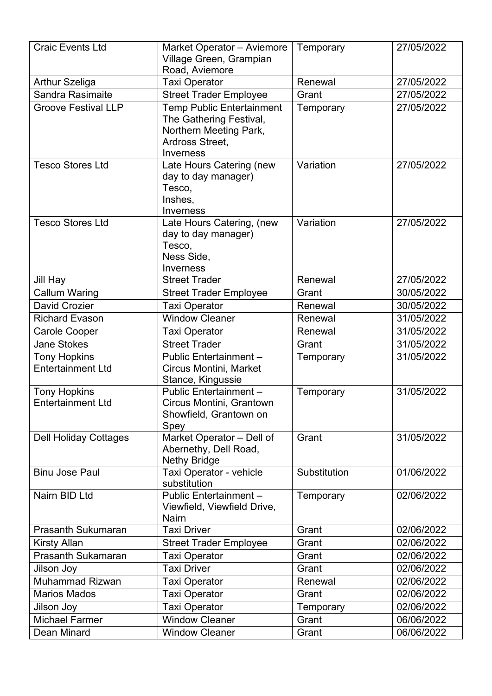| <b>Craic Events Ltd</b>                         | Market Operator - Aviemore<br>Village Green, Grampian                                    | Temporary    | 27/05/2022 |
|-------------------------------------------------|------------------------------------------------------------------------------------------|--------------|------------|
| <b>Arthur Szeliga</b>                           | Road, Aviemore<br><b>Taxi Operator</b>                                                   | Renewal      | 27/05/2022 |
| <b>Sandra Rasimaite</b>                         | <b>Street Trader Employee</b>                                                            | Grant        | 27/05/2022 |
| <b>Groove Festival LLP</b>                      | <b>Temp Public Entertainment</b>                                                         | Temporary    | 27/05/2022 |
|                                                 | The Gathering Festival,<br>Northern Meeting Park,<br>Ardross Street,<br>Inverness        |              |            |
| <b>Tesco Stores Ltd</b>                         | Late Hours Catering (new<br>day to day manager)<br>Tesco,<br>Inshes,<br><b>Inverness</b> | Variation    | 27/05/2022 |
| <b>Tesco Stores Ltd</b>                         | Late Hours Catering, (new<br>day to day manager)<br>Tesco,<br>Ness Side,<br>Inverness    | Variation    | 27/05/2022 |
| <b>Jill Hay</b>                                 | <b>Street Trader</b>                                                                     | Renewal      | 27/05/2022 |
| <b>Callum Waring</b>                            | <b>Street Trader Employee</b>                                                            | Grant        | 30/05/2022 |
| David Crozier                                   | <b>Taxi Operator</b>                                                                     | Renewal      | 30/05/2022 |
| <b>Richard Evason</b>                           | <b>Window Cleaner</b>                                                                    | Renewal      | 31/05/2022 |
| <b>Carole Cooper</b>                            | <b>Taxi Operator</b>                                                                     | Renewal      | 31/05/2022 |
| <b>Jane Stokes</b>                              | <b>Street Trader</b>                                                                     | Grant        | 31/05/2022 |
| <b>Tony Hopkins</b><br><b>Entertainment Ltd</b> | Public Entertainment -<br>Circus Montini, Market<br>Stance, Kingussie                    | Temporary    | 31/05/2022 |
| <b>Tony Hopkins</b><br><b>Entertainment Ltd</b> | Public Entertainment-<br>Circus Montini, Grantown<br>Showfield, Grantown on<br>Spey      | Temporary    | 31/05/2022 |
| <b>Dell Holiday Cottages</b>                    | Market Operator - Dell of<br>Abernethy, Dell Road,<br><b>Nethy Bridge</b>                | Grant        | 31/05/2022 |
| <b>Binu Jose Paul</b>                           | Taxi Operator - vehicle<br>substitution                                                  | Substitution | 01/06/2022 |
| Nairn BID Ltd                                   | Public Entertainment -<br>Viewfield, Viewfield Drive,<br><b>Nairn</b>                    | Temporary    | 02/06/2022 |
| <b>Prasanth Sukumaran</b>                       | <b>Taxi Driver</b>                                                                       | Grant        | 02/06/2022 |
| <b>Kirsty Allan</b>                             | <b>Street Trader Employee</b>                                                            | Grant        | 02/06/2022 |
| <b>Prasanth Sukamaran</b>                       | <b>Taxi Operator</b>                                                                     | Grant        | 02/06/2022 |
| Jilson Joy                                      | <b>Taxi Driver</b>                                                                       | Grant        | 02/06/2022 |
| <b>Muhammad Rizwan</b>                          | <b>Taxi Operator</b>                                                                     | Renewal      | 02/06/2022 |
| <b>Marios Mados</b>                             | <b>Taxi Operator</b>                                                                     | Grant        | 02/06/2022 |
| Jilson Joy                                      | <b>Taxi Operator</b>                                                                     | Temporary    | 02/06/2022 |
| <b>Michael Farmer</b>                           | <b>Window Cleaner</b>                                                                    | Grant        | 06/06/2022 |
| Dean Minard                                     | <b>Window Cleaner</b>                                                                    | Grant        | 06/06/2022 |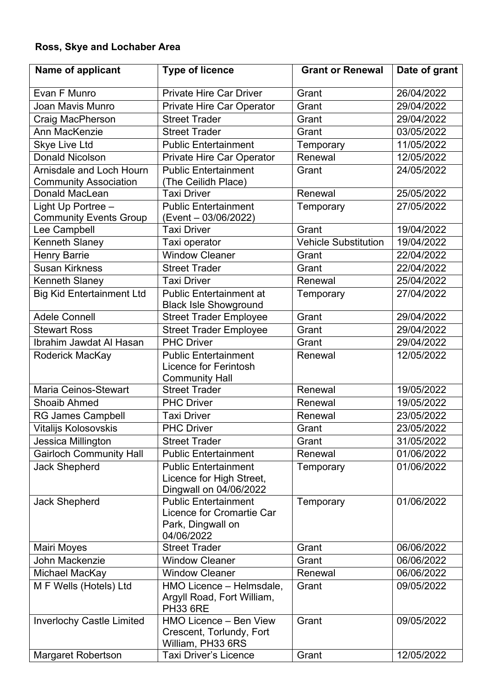# **Ross, Skye and Lochaber Area**

| Name of applicant                                        | <b>Type of licence</b>                                                                      | <b>Grant or Renewal</b>     | Date of grant |
|----------------------------------------------------------|---------------------------------------------------------------------------------------------|-----------------------------|---------------|
| Evan F Munro                                             | <b>Private Hire Car Driver</b>                                                              | Grant                       | 26/04/2022    |
| Joan Mavis Munro                                         | Private Hire Car Operator                                                                   | Grant                       | 29/04/2022    |
| Craig MacPherson                                         | <b>Street Trader</b>                                                                        | Grant                       | 29/04/2022    |
| Ann MacKenzie                                            | <b>Street Trader</b>                                                                        | Grant                       | 03/05/2022    |
| <b>Skye Live Ltd</b>                                     | <b>Public Entertainment</b>                                                                 | Temporary                   | 11/05/2022    |
| <b>Donald Nicolson</b>                                   | <b>Private Hire Car Operator</b>                                                            | Renewal                     | 12/05/2022    |
| Arnisdale and Loch Hourn<br><b>Community Association</b> | <b>Public Entertainment</b><br>(The Ceilidh Place)                                          | Grant                       | 24/05/2022    |
| Donald MacLean                                           | <b>Taxi Driver</b>                                                                          | Renewal                     | 25/05/2022    |
| Light Up Portree -                                       | <b>Public Entertainment</b>                                                                 | Temporary                   | 27/05/2022    |
| <b>Community Events Group</b>                            | (Event - 03/06/2022)                                                                        |                             |               |
| Lee Campbell                                             | <b>Taxi Driver</b>                                                                          | Grant                       | 19/04/2022    |
| <b>Kenneth Slaney</b>                                    | Taxi operator                                                                               | <b>Vehicle Substitution</b> | 19/04/2022    |
| <b>Henry Barrie</b>                                      | <b>Window Cleaner</b>                                                                       | Grant                       | 22/04/2022    |
| <b>Susan Kirkness</b>                                    | <b>Street Trader</b>                                                                        | Grant                       | 22/04/2022    |
| Kenneth Slaney                                           | <b>Taxi Driver</b>                                                                          | Renewal                     | 25/04/2022    |
| <b>Big Kid Entertainment Ltd</b>                         | <b>Public Entertainment at</b><br><b>Black Isle Showground</b>                              | Temporary                   | 27/04/2022    |
| <b>Adele Connell</b>                                     | <b>Street Trader Employee</b>                                                               | Grant                       | 29/04/2022    |
| <b>Stewart Ross</b>                                      | <b>Street Trader Employee</b>                                                               | Grant                       | 29/04/2022    |
| Ibrahim Jawdat Al Hasan                                  | <b>PHC Driver</b>                                                                           | Grant                       | 29/04/2022    |
| Roderick MacKay                                          | <b>Public Entertainment</b><br><b>Licence for Ferintosh</b><br><b>Community Hall</b>        | Renewal                     | 12/05/2022    |
| <b>Maria Ceinos-Stewart</b>                              | <b>Street Trader</b>                                                                        | Renewal                     | 19/05/2022    |
| <b>Shoaib Ahmed</b>                                      | <b>PHC Driver</b>                                                                           | Renewal                     | 19/05/2022    |
| <b>RG James Campbell</b>                                 | <b>Taxi Driver</b>                                                                          | Renewal                     | 23/05/2022    |
| <b>Vitalijs Kolosovskis</b>                              | <b>PHC Driver</b>                                                                           | Grant                       | 23/05/2022    |
| Jessica Millington                                       | <b>Street Trader</b>                                                                        | Grant                       | 31/05/2022    |
| <b>Gairloch Community Hall</b>                           | <b>Public Entertainment</b>                                                                 | Renewal                     | 01/06/2022    |
| <b>Jack Shepherd</b>                                     | <b>Public Entertainment</b><br>Licence for High Street,<br>Dingwall on 04/06/2022           | Temporary                   | 01/06/2022    |
| <b>Jack Shepherd</b>                                     | <b>Public Entertainment</b><br>Licence for Cromartie Car<br>Park, Dingwall on<br>04/06/2022 | Temporary                   | 01/06/2022    |
| <b>Mairi Moyes</b>                                       | <b>Street Trader</b>                                                                        | Grant                       | 06/06/2022    |
| John Mackenzie                                           | <b>Window Cleaner</b>                                                                       | Grant                       | 06/06/2022    |
| Michael MacKay                                           | <b>Window Cleaner</b>                                                                       | Renewal                     | 06/06/2022    |
| M F Wells (Hotels) Ltd                                   | HMO Licence - Helmsdale,<br>Argyll Road, Fort William,<br><b>PH33 6RE</b>                   | Grant                       | 09/05/2022    |
| <b>Inverlochy Castle Limited</b>                         | HMO Licence - Ben View<br>Crescent, Torlundy, Fort<br>William, PH33 6RS                     | Grant                       | 09/05/2022    |
| <b>Margaret Robertson</b>                                | <b>Taxi Driver's Licence</b>                                                                | Grant                       | 12/05/2022    |